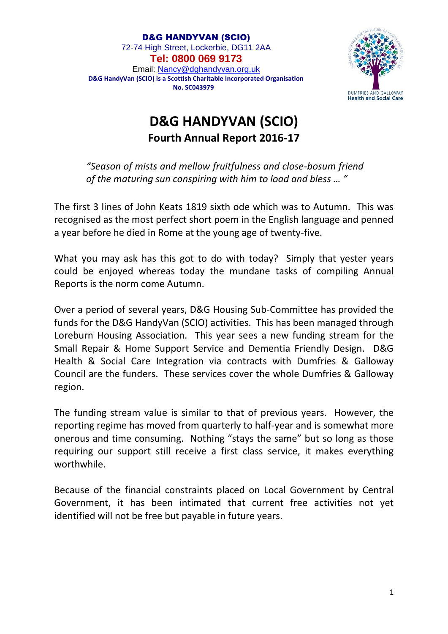

## **D&G HANDYVAN (SCIO) Fourth Annual Report 2016-17**

*"Season of mists and mellow fruitfulness and close-bosum friend of the maturing sun conspiring with him to load and bless … "*

The first 3 lines of John Keats 1819 sixth ode which was to Autumn. This was recognised as the most perfect short poem in the English language and penned a year before he died in Rome at the young age of twenty-five.

What you may ask has this got to do with today? Simply that yester years could be enjoyed whereas today the mundane tasks of compiling Annual Reports is the norm come Autumn.

Over a period of several years, D&G Housing Sub-Committee has provided the funds for the D&G HandyVan (SCIO) activities. This has been managed through Loreburn Housing Association. This year sees a new funding stream for the Small Repair & Home Support Service and Dementia Friendly Design. D&G Health & Social Care Integration via contracts with Dumfries & Galloway Council are the funders. These services cover the whole Dumfries & Galloway region.

The funding stream value is similar to that of previous years. However, the reporting regime has moved from quarterly to half-year and is somewhat more onerous and time consuming. Nothing "stays the same" but so long as those requiring our support still receive a first class service, it makes everything worthwhile.

Because of the financial constraints placed on Local Government by Central Government, it has been intimated that current free activities not yet identified will not be free but payable in future years.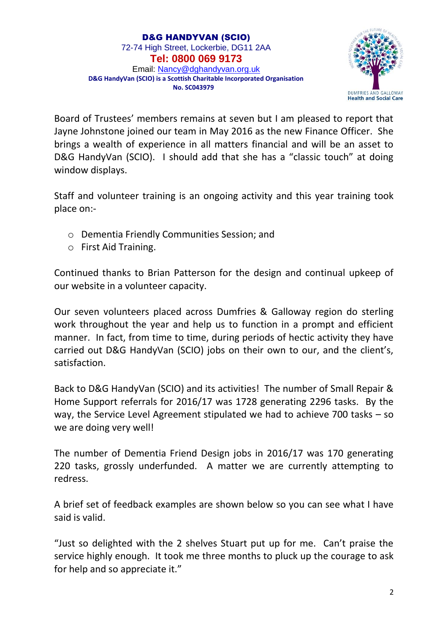

Board of Trustees' members remains at seven but I am pleased to report that Jayne Johnstone joined our team in May 2016 as the new Finance Officer. She brings a wealth of experience in all matters financial and will be an asset to D&G HandyVan (SCIO). I should add that she has a "classic touch" at doing window displays.

Staff and volunteer training is an ongoing activity and this year training took place on:-

- o Dementia Friendly Communities Session; and
- o First Aid Training.

Continued thanks to Brian Patterson for the design and continual upkeep of our website in a volunteer capacity.

Our seven volunteers placed across Dumfries & Galloway region do sterling work throughout the year and help us to function in a prompt and efficient manner. In fact, from time to time, during periods of hectic activity they have carried out D&G HandyVan (SCIO) jobs on their own to our, and the client's, satisfaction.

Back to D&G HandyVan (SCIO) and its activities! The number of Small Repair & Home Support referrals for 2016/17 was 1728 generating 2296 tasks. By the way, the Service Level Agreement stipulated we had to achieve 700 tasks – so we are doing very well!

The number of Dementia Friend Design jobs in 2016/17 was 170 generating 220 tasks, grossly underfunded. A matter we are currently attempting to redress.

A brief set of feedback examples are shown below so you can see what I have said is valid.

"Just so delighted with the 2 shelves Stuart put up for me. Can't praise the service highly enough. It took me three months to pluck up the courage to ask for help and so appreciate it."